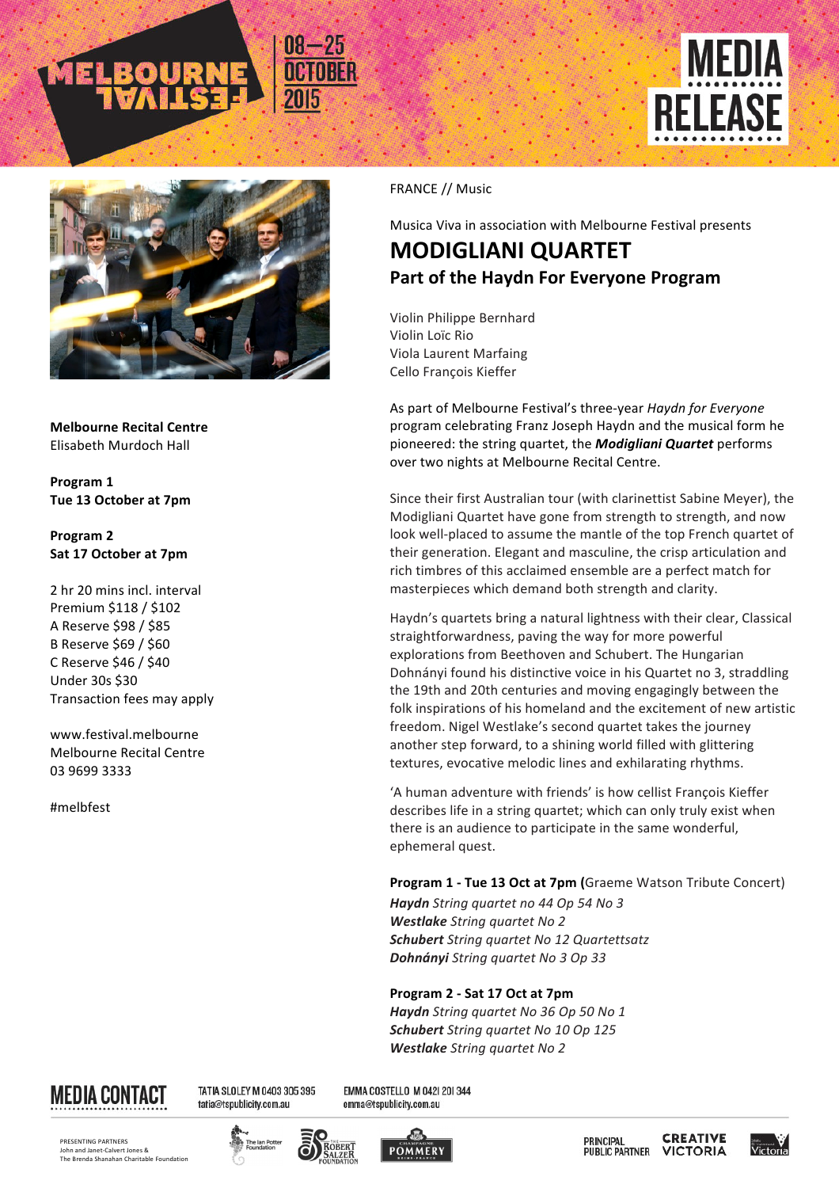





**Melbourne Recital Centre** Elisabeth Murdoch Hall

**Program 1 Tue 13 October at 7pm**

**Program 2 Sat 17 October at 7pm**

2 hr 20 mins incl. interval Premium \$118 / \$102 A Reserve \$98 / \$85 B Reserve \$69 / \$60 C Reserve \$46 / \$40 Under 30s \$30 Transaction fees may apply

www.festival.melbourne Melbourne Recital Centre 03 9699 3333

#melbfest

FRANCE // Music

Musica Viva in association with Melbourne Festival presents

## **MODIGLIANI QUARTET** Part of the Haydn For Everyone Program

Violin Philippe Bernhard Violin Loïc Rio Viola Laurent Marfaing Cello François Kieffer

As part of Melbourne Festival's three-year *Haydn for Everyone* program celebrating Franz Joseph Haydn and the musical form he pioneered: the string quartet, the **Modigliani Quartet** performs over two nights at Melbourne Recital Centre.

Since their first Australian tour (with clarinettist Sabine Meyer), the Modigliani Quartet have gone from strength to strength, and now look well-placed to assume the mantle of the top French quartet of their generation. Elegant and masculine, the crisp articulation and rich timbres of this acclaimed ensemble are a perfect match for masterpieces which demand both strength and clarity.

Haydn's quartets bring a natural lightness with their clear, Classical straightforwardness, paving the way for more powerful explorations from Beethoven and Schubert. The Hungarian Dohnányi found his distinctive voice in his Quartet no 3, straddling the 19th and 20th centuries and moving engagingly between the folk inspirations of his homeland and the excitement of new artistic freedom. Nigel Westlake's second quartet takes the journey another step forward, to a shining world filled with glittering textures, evocative melodic lines and exhilarating rhythms.

'A human adventure with friends' is how cellist François Kieffer describes life in a string quartet; which can only truly exist when there is an audience to participate in the same wonderful, ephemeral quest.

**Program 1 - Tue 13 Oct at 7pm (Graeme Watson Tribute Concert)** 

*Haydn String quartet no 44 Op 54 No 3 Westlake String quartet No 2 Schubert String quartet No 12 Quartettsatz* **Dohnányi** String quartet No 3 Op 33

**Program 2 - Sat 17 Oct at 7pm**

*Haydn String quartet No 36 Op 50 No 1* **Schubert** String quartet No 10 Op 125 **Westlake** String quartet No 2



TATIA SLOLEY M 0403 305 395 tatia@tspublicity.com.au

EMMA COSTELLO M 0421 201344 emma@tspublicity.com.au